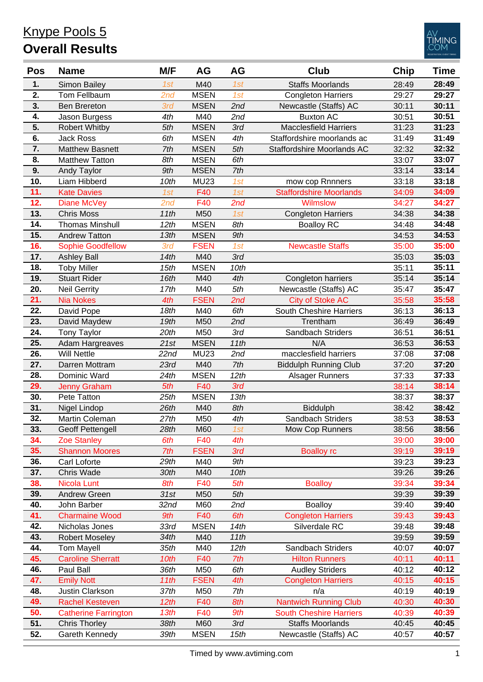

| <b>Pos</b>       | <b>Name</b>                 | M/F  | <b>AG</b>   | AG   | <b>Club</b>                    | <b>Chip</b> | Time  |
|------------------|-----------------------------|------|-------------|------|--------------------------------|-------------|-------|
| 1.               | Simon Bailey                | 1st  | M40         | 1st  | <b>Staffs Moorlands</b>        | 28:49       | 28:49 |
| 2.               | Tom Fellbaum                | 2nd  | <b>MSEN</b> | 1st  | Congleton Harriers             | 29:27       | 29:27 |
| 3.               | <b>Ben Brereton</b>         | 3rd  | <b>MSEN</b> | 2nd  | Newcastle (Staffs) AC          | 30:11       | 30:11 |
| 4.               | Jason Burgess               | 4th  | M40         | 2nd  | <b>Buxton AC</b>               | 30:51       | 30:51 |
| 5.               | <b>Robert Whitby</b>        | 5th  | <b>MSEN</b> | 3rd  | <b>Macclesfield Harriers</b>   | 31:23       | 31:23 |
| $\overline{6}$ . | <b>Jack Ross</b>            | 6th  | <b>MSEN</b> | 4th  | Staffordshire moorlands ac     | 31:49       | 31:49 |
| 7.               | <b>Matthew Basnett</b>      | 7th  | <b>MSEN</b> | 5th  | Staffordshire Moorlands AC     | 32:32       | 32:32 |
| 8.               | <b>Matthew Tatton</b>       | 8th  | <b>MSEN</b> | 6th  |                                | 33:07       | 33:07 |
| 9.               | <b>Andy Taylor</b>          | 9th  | <b>MSEN</b> | 7th  |                                | 33:14       | 33:14 |
| 10.              | Liam Hibberd                | 10th | <b>MU23</b> | 1st  | mow cop Rnnners                | 33:18       | 33:18 |
| 11.              | <b>Kate Davies</b>          | 1st  | F40         | 1st  | <b>Staffordshire Moorlands</b> | 34:09       | 34:09 |
| 12.              | Diane McVey                 | 2nd  | F40         | 2nd  | Wilmslow                       | 34:27       | 34:27 |
| 13.              | <b>Chris Moss</b>           | 11th | M50         | 1st  | <b>Congleton Harriers</b>      | 34:38       | 34:38 |
| 14.              | <b>Thomas Minshull</b>      | 12th | <b>MSEN</b> | 8th  | <b>Boalloy RC</b>              | 34:48       | 34:48 |
| 15.              | <b>Andrew Tatton</b>        | 13th | <b>MSEN</b> | 9th  |                                | 34:53       | 34:53 |
| 16.              | <b>Sophie Goodfellow</b>    | 3rd  | <b>FSEN</b> | 1st  | <b>Newcastle Staffs</b>        | 35:00       | 35:00 |
| 17.              | <b>Ashley Ball</b>          | 14th | M40         | 3rd  |                                | 35:03       | 35:03 |
| 18.              | <b>Toby Miller</b>          | 15th | <b>MSEN</b> | 10th |                                | 35:11       | 35:11 |
| 19.              | <b>Stuart Rider</b>         | 16th | M40         | 4th  | Congleton harriers             | 35:14       | 35:14 |
| 20.              | <b>Neil Gerrity</b>         | 17th | M40         | 5th  | Newcastle (Staffs) AC          | 35:47       | 35:47 |
| 21.              | <b>Nia Nokes</b>            | 4th  | <b>FSEN</b> | 2nd  | <b>City of Stoke AC</b>        | 35:58       | 35:58 |
| 22.              | David Pope                  | 18th | M40         | 6th  | South Cheshire Harriers        | 36:13       | 36:13 |
| 23.              | David Maydew                | 19th | M50         | 2nd  | Trentham                       | 36:49       | 36:49 |
| 24.              | <b>Tony Taylor</b>          | 20th | M50         | 3rd  | Sandbach Striders              | 36:51       | 36:51 |
| 25.              | <b>Adam Hargreaves</b>      | 21st | <b>MSEN</b> | 11th | N/A                            | 36:53       | 36:53 |
| 26.              | <b>Will Nettle</b>          | 22nd | <b>MU23</b> | 2nd  | macclesfield harriers          | 37:08       | 37:08 |
| 27.              | Darren Mottram              | 23rd | M40         | 7th  | <b>Biddulph Running Club</b>   | 37:20       | 37:20 |
| 28.              | Dominic Ward                | 24th | <b>MSEN</b> | 12th | Alsager Runners                | 37:33       | 37:33 |
| 29.              | <b>Jenny Graham</b>         | 5th  | F40         | 3rd  |                                | 38:14       | 38:14 |
| 30.              | Pete Tatton                 | 25th | <b>MSEN</b> | 13th |                                | 38:37       | 38:37 |
| 31.              | Nigel Lindop                | 26th | M40         | 8th  | Biddulph                       | 38:42       | 38:42 |
| 32.              | Martin Coleman              | 27th | M50         | 4th  | Sandbach Striders              | 38:53       | 38:53 |
| 33.              | <b>Geoff Pettengell</b>     | 28th | M60         | 1st  | Mow Cop Runners                | 38:56       | 38:56 |
| 34.              | <b>Zoe Stanley</b>          | 6th  | F40         | 4th  |                                | 39:00       | 39:00 |
| 35.              | <b>Shannon Moores</b>       | 7th  | <b>FSEN</b> | 3rd  | <b>Boalloy rc</b>              | 39:19       | 39:19 |
| 36.              | Carl Loforte                | 29th | M40         | 9th  |                                | 39:23       | 39:23 |
| 37.              | Chris Wade                  | 30th | M40         | 10th |                                | 39:26       | 39:26 |
| 38.              | Nicola Lunt                 | 8th  | F40         | 5th  | <b>Boalloy</b>                 | 39:34       | 39:34 |
| 39.              | <b>Andrew Green</b>         | 31st | M50         | 5th  |                                | 39:39       | 39:39 |
| 40.              | John Barber                 | 32nd | M60         | 2nd  | <b>Boalloy</b>                 | 39:40       | 39:40 |
| 41.              | <b>Charmaine Wood</b>       | 9th  | F40         | 6th  | <b>Congleton Harriers</b>      | 39:43       | 39:43 |
| 42.              | Nicholas Jones              | 33rd | <b>MSEN</b> | 14th | Silverdale RC                  | 39:48       | 39:48 |
| 43.              | <b>Robert Moseley</b>       | 34th | M40         | 11th |                                | 39:59       | 39:59 |
| 44.              | <b>Tom Mayell</b>           | 35th | M40         | 12th | Sandbach Striders              | 40:07       | 40:07 |
| 45.              | <b>Caroline Sherratt</b>    | 10th | F40         | 7th  | <b>Hilton Runners</b>          | 40:11       | 40:11 |
| 46.              | Paul Ball                   | 36th | M50         | 6th  | <b>Audley Striders</b>         | 40:12       | 40:12 |
| 47.              | <b>Emily Nott</b>           | 11th | <b>FSEN</b> | 4th  | <b>Congleton Harriers</b>      | 40:15       | 40:15 |
| 48.              | Justin Clarkson             | 37th | M50         | 7th  | n/a                            | 40:19       | 40:19 |
| 49.              | <b>Rachel Kesteven</b>      | 12th | F40         | 8th  | <b>Nantwich Running Club</b>   | 40:30       | 40:30 |
| 50.              | <b>Catherine Farrington</b> | 13th | F40         | 9th  | <b>South Cheshire Harriers</b> | 40:39       | 40:39 |
| 51.              | <b>Chris Thorley</b>        | 38th | M60         | 3rd  | <b>Staffs Moorlands</b>        | 40:45       | 40:45 |
| 52.              | Gareth Kennedy              | 39th | <b>MSEN</b> | 15th | Newcastle (Staffs) AC          | 40:57       | 40:57 |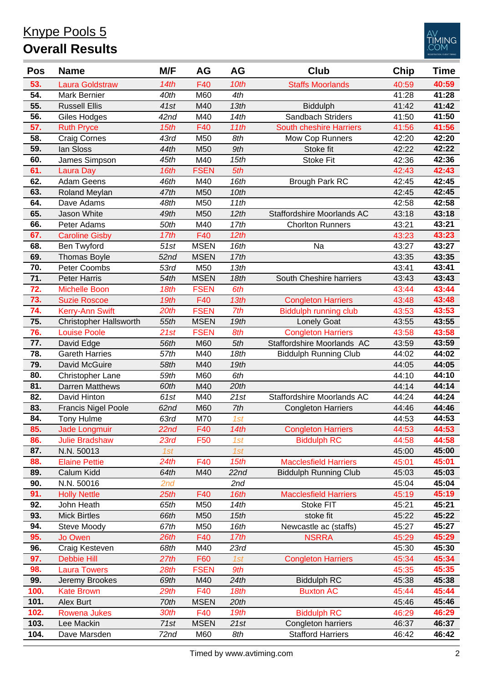

| <b>Pos</b> | <b>Name</b>                   | M/F              | <b>AG</b>   | AG   | <b>Club</b>                    | Chip  | Time  |
|------------|-------------------------------|------------------|-------------|------|--------------------------------|-------|-------|
| 53.        | <b>Laura Goldstraw</b>        | 14th             | F40         | 10th | <b>Staffs Moorlands</b>        | 40:59 | 40:59 |
| 54.        | Mark Bernier                  | 40th             | M60         | 4th  |                                | 41:28 | 41:28 |
| 55.        | <b>Russell Ellis</b>          | 41st             | M40         | 13th | <b>Biddulph</b>                | 41:42 | 41:42 |
| 56.        | Giles Hodges                  | 42 <sub>nd</sub> | M40         | 14th | Sandbach Striders              | 41:50 | 41:50 |
| 57.        | <b>Ruth Pryce</b>             | 15th             | F40         | 11th | <b>South cheshire Harriers</b> | 41:56 | 41:56 |
| 58.        | <b>Craig Cornes</b>           | 43rd             | M50         | 8th  | Mow Cop Runners                | 42:20 | 42:20 |
| 59.        | lan Sloss                     | 44th             | M50         | 9th  | Stoke fit                      | 42:22 | 42:22 |
| 60.        | James Simpson                 | 45th             | M40         | 15th | <b>Stoke Fit</b>               | 42:36 | 42:36 |
| 61.        | <b>Laura Day</b>              | 16th             | <b>FSEN</b> | 5th  |                                | 42:43 | 42:43 |
| 62.        | <b>Adam Geens</b>             | 46th             | M40         | 16th | <b>Brough Park RC</b>          | 42:45 | 42:45 |
| 63.        | Roland Meylan                 | 47th             | M50         | 10th |                                | 42:45 | 42:45 |
| 64.        | Dave Adams                    | 48th             | M50         | 11th |                                | 42:58 | 42:58 |
| 65.        | Jason White                   | 49th             | M50         | 12th | Staffordshire Moorlands AC     | 43:18 | 43:18 |
| 66.        | Peter Adams                   | 50th             | M40         | 17th | <b>Chorlton Runners</b>        | 43:21 | 43:21 |
| 67.        | <b>Caroline Gisby</b>         | 17th             | F40         | 12th |                                | 43:23 | 43:23 |
| 68.        | Ben Twyford                   | 51st             | <b>MSEN</b> | 16th | Na                             | 43:27 | 43:27 |
| 69.        | <b>Thomas Boyle</b>           | 52 <sub>nd</sub> | <b>MSEN</b> | 17th |                                | 43:35 | 43:35 |
| 70.        | Peter Coombs                  | 53rd             | M50         | 13th |                                | 43:41 | 43:41 |
| 71.        | <b>Peter Harris</b>           | 54th             | <b>MSEN</b> | 18th | South Cheshire harriers        | 43:43 | 43:43 |
| 72.        | <b>Michelle Boon</b>          | 18th             | <b>FSEN</b> | 6th  |                                | 43:44 | 43:44 |
| 73.        | <b>Suzie Roscoe</b>           | 19th             | F40         | 13th | <b>Congleton Harriers</b>      | 43:48 | 43:48 |
| 74.        | Kerry-Ann Swift               | 20th             | <b>FSEN</b> | 7th  | <b>Biddulph running club</b>   | 43:53 | 43:53 |
| 75.        | <b>Christopher Hallsworth</b> | 55th             | <b>MSEN</b> | 19th | <b>Lonely Goat</b>             | 43:55 | 43:55 |
| 76.        | <b>Louise Poole</b>           | 21st             | <b>FSEN</b> | 8th  | <b>Congleton Harriers</b>      | 43:58 | 43:58 |
| 77.        | David Edge                    | 56th             | M60         | 5th  | Staffordshire Moorlands AC     | 43:59 | 43:59 |
| 78.        | <b>Gareth Harries</b>         | 57th             | M40         | 18th | <b>Biddulph Running Club</b>   | 44:02 | 44:02 |
| 79.        | David McGuire                 | 58th             | M40         | 19th |                                | 44:05 | 44:05 |
| 80.        | Christopher Lane              | 59th             | M60         | 6th  |                                | 44:10 | 44:10 |
| 81.        | <b>Darren Matthews</b>        | 60th             | M40         | 20th |                                | 44:14 | 44:14 |
| 82.        | David Hinton                  | 61st             | M40         | 21st | Staffordshire Moorlands AC     | 44:24 | 44:24 |
| 83.        | <b>Francis Nigel Poole</b>    | 62 <sub>nd</sub> | M60         | 7th  | <b>Congleton Harriers</b>      | 44:46 | 44:46 |
| 84.        | Tony Hulme                    | 63rd             | M70         | 1st  |                                | 44:53 | 44:53 |
| 85.        | <b>Jade Longmuir</b>          | 22nd             | F40         | 14th | <b>Congleton Harriers</b>      | 44:53 | 44:53 |
| 86.        | <b>Julie Bradshaw</b>         | 23rd             | F50         | 1st  | <b>Biddulph RC</b>             | 44:58 | 44:58 |
| 87.        | N.N. 50013                    | 1st              |             | 1st  |                                | 45:00 | 45:00 |
| 88.        | <b>Elaine Pettie</b>          | 24th             | F40         | 15th | <b>Macclesfield Harriers</b>   | 45:01 | 45:01 |
| 89.        | Calum Kidd                    | 64th             | M40         | 22nd | <b>Biddulph Running Club</b>   | 45:03 | 45:03 |
| 90.        | N.N. 50016                    | 2nd              |             | 2nd  |                                | 45:04 | 45:04 |
| 91.        | <b>Holly Nettle</b>           | 25th             | F40         | 16th | <b>Macclesfield Harriers</b>   | 45:19 | 45:19 |
| 92.        | John Heath                    | 65th             | M50         | 14th | Stoke FIT                      | 45:21 | 45:21 |
| 93.        | <b>Mick Birtles</b>           | 66th             | M50         | 15th | stoke fit                      | 45:22 | 45:22 |
| 94.        | Steve Moody                   | 67th             | M50         | 16th | Newcastle ac (staffs)          | 45:27 | 45:27 |
| 95.        | Jo Owen                       | 26th             | F40         | 17th | <b>NSRRA</b>                   | 45:29 | 45:29 |
| 96.        | Craig Kesteven                | 68th             | M40         | 23rd |                                | 45:30 | 45:30 |
| 97.        | <b>Debbie Hill</b>            | 27th             | F60         | 1st  | <b>Congleton Harriers</b>      | 45:34 | 45:34 |
| 98.        | <b>Laura Towers</b>           | 28th             | <b>FSEN</b> | 9th  |                                | 45:35 | 45:35 |
| 99.        | Jeremy Brookes                | 69th             | M40         | 24th | <b>Biddulph RC</b>             | 45:38 | 45:38 |
| 100.       | <b>Kate Brown</b>             | 29th             | F40         | 18th | <b>Buxton AC</b>               | 45:44 | 45:44 |
| 101.       | Alex Burt                     | 70th             | <b>MSEN</b> | 20th |                                | 45:46 | 45:46 |
| 102.       | <b>Rowena Jukes</b>           | 30th             | F40         | 19th | <b>Biddulph RC</b>             | 46:29 | 46:29 |
| 103.       | Lee Mackin                    | 71st             | <b>MSEN</b> | 21st | Congleton harriers             | 46:37 | 46:37 |
| 104.       | Dave Marsden                  | 72nd             | M60         | 8th  | <b>Stafford Harriers</b>       | 46:42 | 46:42 |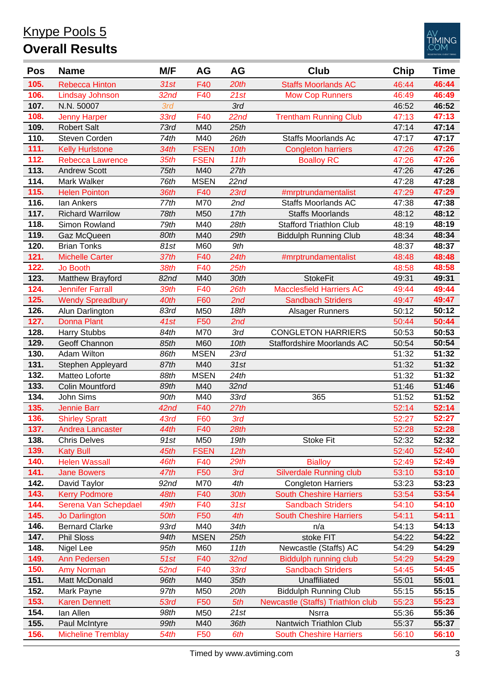

| <b>Pos</b> | <b>Name</b>               | M/F              | AG              | AG               | Club                              | Chip  | Time  |
|------------|---------------------------|------------------|-----------------|------------------|-----------------------------------|-------|-------|
| 105.       | <b>Rebecca Hinton</b>     | 31st             | F40             | 20th             | <b>Staffs Moorlands AC</b>        | 46:44 | 46:44 |
| 106.       | <b>Lindsay Johnson</b>    | 32 <sub>nd</sub> | F40             | 21st             | <b>Mow Cop Runners</b>            | 46:49 | 46:49 |
| 107.       | N.N. 50007                | 3rd              |                 | 3rd              |                                   | 46:52 | 46:52 |
| 108.       | <b>Jenny Harper</b>       | 33rd             | F40             | 22nd             | <b>Trentham Running Club</b>      | 47:13 | 47:13 |
| 109.       | <b>Robert Salt</b>        | 73rd             | M40             | 25th             |                                   | 47:14 | 47:14 |
| 110.       | Steven Corden             | 74th             | M40             | 26th             | <b>Staffs Moorlands Ac</b>        | 47:17 | 47:17 |
| 111.       | <b>Kelly Hurlstone</b>    | 34th             | <b>FSEN</b>     | 10th             | <b>Congleton harriers</b>         | 47:26 | 47:26 |
| 112.       | <b>Rebecca Lawrence</b>   | 35th             | <b>FSEN</b>     | 11th             | <b>Boalloy RC</b>                 | 47:26 | 47:26 |
| 113.       | <b>Andrew Scott</b>       | 75th             | M40             | 27th             |                                   | 47:26 | 47:26 |
| 114.       | Mark Walker               | 76th             | <b>MSEN</b>     | 22nd             |                                   | 47:28 | 47:28 |
| 115.       | <b>Helen Pointon</b>      | 36th             | F40             | 23rd             | #mrptrundamentalist               | 47:29 | 47:29 |
| 116.       | lan Ankers                | 77th             | M70             | 2nd              | <b>Staffs Moorlands AC</b>        | 47:38 | 47:38 |
| 117.       | <b>Richard Warrilow</b>   | 78th             | M50             | 17th             | <b>Staffs Moorlands</b>           | 48:12 | 48:12 |
| 118.       | Simon Rowland             | 79th             | M40             | 28th             | <b>Stafford Triathlon Club</b>    | 48:19 | 48:19 |
| 119.       | Gaz McQueen               | 80th             | M40             | 29th             | <b>Biddulph Running Club</b>      | 48:34 | 48:34 |
| 120.       | <b>Brian Tonks</b>        | 81st             | M60             | 9th              |                                   | 48:37 | 48:37 |
| 121.       | <b>Michelle Carter</b>    | 37th             | F40             | 24th             | #mrptrundamentalist               | 48:48 | 48:48 |
| 122.       | <b>Jo Booth</b>           | 38th             | F40             | 25th             |                                   | 48:58 | 48:58 |
| 123.       | Matthew Brayford          | 82nd             | M40             | 30th             | <b>StokeFit</b>                   | 49:31 | 49:31 |
| 124.       | <b>Jennifer Farrall</b>   | 39th             | F40             | 26th             | <b>Macclesfield Harriers AC</b>   | 49:44 | 49:44 |
| 125.       | <b>Wendy Spreadbury</b>   | 40th             | F60             | 2nd              | <b>Sandbach Striders</b>          | 49:47 | 49:47 |
| 126.       | Alun Darlington           | 83rd             | M50             | 18th             | <b>Alsager Runners</b>            | 50:12 | 50:12 |
| 127.       | <b>Donna Plant</b>        | 41st             | F50             | 2nd              |                                   | 50:44 | 50:44 |
| 128.       | <b>Harry Stubbs</b>       | 84th             | M70             | 3rd              | <b>CONGLETON HARRIERS</b>         | 50:53 | 50:53 |
| 129.       | Geoff Channon             | 85th             | M60             | 10th             | Staffordshire Moorlands AC        | 50:54 | 50:54 |
| 130.       | <b>Adam Wilton</b>        | 86th             | <b>MSEN</b>     | 23rd             |                                   | 51:32 | 51:32 |
| 131.       | Stephen Appleyard         | 87th             | M40             | 31st             |                                   | 51:32 | 51:32 |
| 132.       | Matteo Loforte            | 88th             | <b>MSEN</b>     | 24th             |                                   | 51:32 | 51:32 |
| 133.       | <b>Colin Mountford</b>    | 89th             | M40             | 32 <sub>nd</sub> |                                   | 51:46 | 51:46 |
| 134.       | John Sims                 | 90th             | M40             | 33rd             | 365                               | 51:52 | 51:52 |
| 135.       | <b>Jennie Barr</b>        | 42 <sub>nd</sub> | F40             | 27th             |                                   | 52:14 | 52:14 |
| 136.       | <b>Shirley Spratt</b>     | 43rd             | F60             | 3rd              |                                   | 52:27 | 52:27 |
| 137.       | Andrea Lancaster          | 44th             | F40             | 28th             |                                   | 52:28 | 52:28 |
| 138.       | <b>Chris Delves</b>       | 91st             | M50             | 19th             | Stoke Fit                         | 52:32 | 52:32 |
| 139.       | <b>Katy Bull</b>          | 45th             | <b>FSEN</b>     | 12th             |                                   | 52:40 | 52:40 |
| 140.       | <b>Helen Wassall</b>      | 46th             | F40             | 29th             | <b>Bialloy</b>                    | 52:49 | 52:49 |
| 141.       | <b>Jane Bowers</b>        | 47th             | F <sub>50</sub> | 3rd              | <b>Silverdale Running club</b>    | 53:10 | 53:10 |
| 142.       | David Taylor              | 92 <sub>nd</sub> | M70             | 4th              | <b>Congleton Harriers</b>         | 53:23 | 53:23 |
| 143.       | <b>Kerry Podmore</b>      | 48th             | F40             | 30th             | <b>South Cheshire Harriers</b>    | 53:54 | 53:54 |
| 144.       | Serena Van Schepdael      | 49th             | F40             | 31st             | <b>Sandbach Striders</b>          | 54:10 | 54:10 |
| 145.       | Jo Darlington             | 50th             | F50             | 4th              | <b>South Cheshire Harriers</b>    | 54:11 | 54:11 |
| 146.       | <b>Bernard Clarke</b>     | 93rd             | M40             | 34th             | n/a                               | 54:13 | 54:13 |
| 147.       | <b>Phil Sloss</b>         | 94th             | <b>MSEN</b>     | 25th             | stoke FIT                         | 54:22 | 54:22 |
| 148.       | Nigel Lee                 | 95th             | M60             | 11th             | Newcastle (Staffs) AC             | 54:29 | 54:29 |
| 149.       | Ann Pedersen              | 51st             | F40             | 32 <sub>nd</sub> | Biddulph running club             | 54:29 | 54:29 |
| 150.       | <b>Amy Norman</b>         | 52nd             | F40             | 33rd             | <b>Sandbach Striders</b>          | 54:45 | 54:45 |
| 151.       | Matt McDonald             | 96th             | M40             | 35th             | Unaffiliated                      | 55:01 | 55:01 |
| 152.       | Mark Payne                | 97th             | M50             | 20th             | <b>Biddulph Running Club</b>      | 55:15 | 55:15 |
| 153.       | <b>Karen Dennett</b>      | 53rd             | F <sub>50</sub> | 5th              | Newcastle (Staffs) Triathlon club | 55:23 | 55:23 |
| 154.       | lan Allen                 | 98th             | M50             | 21st             | Nsrra                             | 55:36 | 55:36 |
| 155.       | Paul McIntyre             | 99th             | M40             | 36th             | Nantwich Triathlon Club           | 55:37 | 55:37 |
| 156.       | <b>Micheline Tremblay</b> | 54th             | F <sub>50</sub> | 6th              | <b>South Cheshire Harriers</b>    | 56:10 | 56:10 |